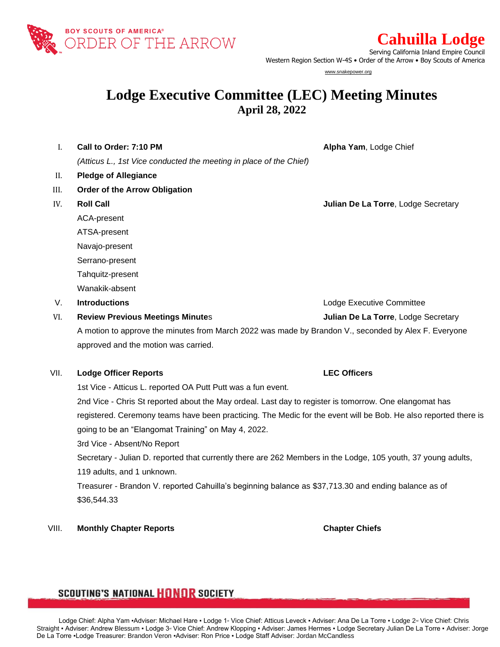

**Cahuilla Lodge** 

Serving California Inland Empire Council Western Region Section W-4S • Order of the Arrow • Boy Scouts of America

www.snakepower.org

# **Lodge Executive Committee (LEC) Meeting Minutes April 28, 2022**

I. **Call to Order: 7:10 PM Alpha Yam**, Lodge Chief *(Atticus L., 1st Vice conducted the meeting in place of the Chief)* II. **Pledge of Allegiance**  III. **Order of the Arrow Obligation** IV. **Roll Call Julian De La Torre**, Lodge Secretary ACA-present ATSA-present Navajo-present Serrano-present Tahquitz-present Wanakik-absent V. **Introductions** Lodge Executive Committee VI. **Review Previous Meetings Minute**s **Julian De La Torre**, Lodge Secretary

A motion to approve the minutes from March 2022 was made by Brandon V., seconded by Alex F. Everyone approved and the motion was carried.

### VII. **Lodge Officer Reports LEC Officers**

1st Vice - Atticus L. reported OA Putt Putt was a fun event.

2nd Vice - Chris St reported about the May ordeal. Last day to register is tomorrow. One elangomat has registered. Ceremony teams have been practicing. The Medic for the event will be Bob. He also reported there is going to be an "Elangomat Training" on May 4, 2022.

3rd Vice - Absent/No Report

Secretary - Julian D. reported that currently there are 262 Members in the Lodge, 105 youth, 37 young adults, 119 adults, and 1 unknown.

Treasurer - Brandon V. reported Cahuilla's beginning balance as \$37,713.30 and ending balance as of \$36,544.33

### VIII. **Monthly Chapter Reports Chapter Chiefs**

## **SCOUTING'S NATIONAL HONOR SOCIETY**

Lodge Chief: Alpha Yam •Adviser: Michael Hare • Lodge 1<sup>a</sup> Vice Chief: Atticus Leveck • Adviser: Ana De La Torre • Lodge 2<sup>a</sup> Vice Chief: Chris Straight • Adviser: Andrew Blessum • Lodge 3<sup>®</sup> Vice Chief: Andrew Klopping • Adviser: James Hermes • Lodge Secretary Julian De La Torre • Adviser: Jorge De La Torre ▪Lodge Treasurer: Brandon Veron ▪Adviser: Ron Price ▪ Lodge Staff Adviser: Jordan McCandless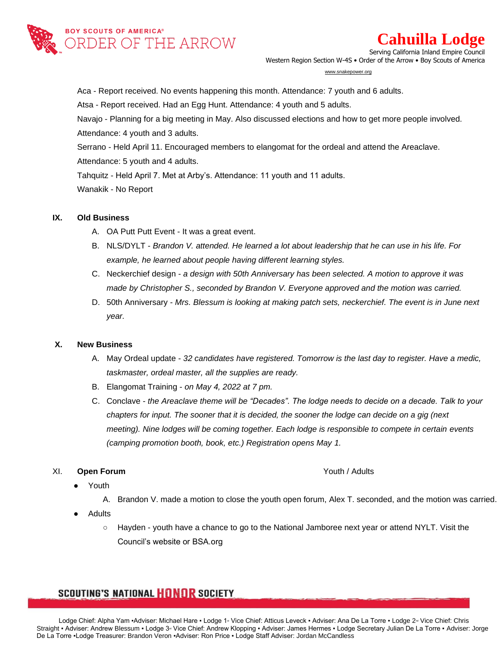

# **Cahuilla Lodge**

Serving California Inland Empire Council Western Region Section W-4S • Order of the Arrow • Boy Scouts of America

#### www.snakepower.org

Aca - Report received. No events happening this month. Attendance: 7 youth and 6 adults.

Atsa - Report received. Had an Egg Hunt. Attendance: 4 youth and 5 adults.

Navajo - Planning for a big meeting in May. Also discussed elections and how to get more people involved. Attendance: 4 youth and 3 adults.

Serrano - Held April 11. Encouraged members to elangomat for the ordeal and attend the Areaclave.

Attendance: 5 youth and 4 adults.

Tahquitz - Held April 7. Met at Arby's. Attendance: 11 youth and 11 adults.

Wanakik - No Report

### **IX. Old Business**

- A. OA Putt Putt Event It was a great event.
- B. NLS/DYLT *Brandon V. attended. He learned a lot about leadership that he can use in his life. For example, he learned about people having different learning styles.*
- C. Neckerchief design *a design with 50th Anniversary has been selected. A motion to approve it was made by Christopher S., seconded by Brandon V. Everyone approved and the motion was carried.*
- D. 50th Anniversary *Mrs. Blessum is looking at making patch sets, neckerchief. The event is in June next year.*

### **X. New Business**

- A. May Ordeal update *32 candidates have registered. Tomorrow is the last day to register. Have a medic, taskmaster, ordeal master, all the supplies are ready.*
- B. Elangomat Training *on May 4, 2022 at 7 pm.*
- C. Conclave *the Areaclave theme will be "Decades". The lodge needs to decide on a decade. Talk to your chapters for input. The sooner that it is decided, the sooner the lodge can decide on a gig (next meeting). Nine lodges will be coming together. Each lodge is responsible to compete in certain events (camping promotion booth, book, etc.) Registration opens May 1.*

### XI. **Open Forum Youth / Adults**

- Youth
	- A. Brandon V. made a motion to close the youth open forum, Alex T. seconded, and the motion was carried.
- **Adults** 
	- Hayden youth have a chance to go to the National Jamboree next year or attend NYLT. Visit the Council's website or BSA.org

## **SCOUTING'S NATIONAL HONOR SOCIETY**

Lodge Chief: Alpha Yam •Adviser: Michael Hare • Lodge 1<sup>a</sup> Vice Chief: Atticus Leveck • Adviser: Ana De La Torre • Lodge 2<sup>a</sup> Vice Chief: Chris Straight • Adviser: Andrew Blessum • Lodge 3<sup>®</sup> Vice Chief: Andrew Klopping • Adviser: James Hermes • Lodge Secretary Julian De La Torre • Adviser: Jorge De La Torre ▪Lodge Treasurer: Brandon Veron ▪Adviser: Ron Price ▪ Lodge Staff Adviser: Jordan McCandless